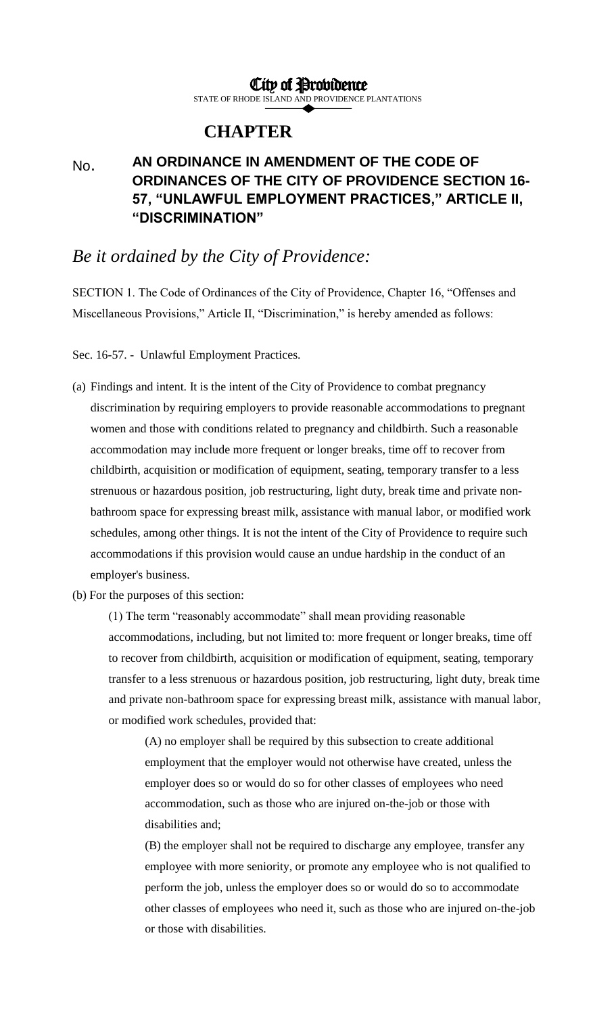## City of Providence

STATE OF RHODE ISLAND AND PROVIDENCE PLANTATIONS

## **CHAPTER**

## No. **AN ORDINANCE IN AMENDMENT OF THE CODE OF ORDINANCES OF THE CITY OF PROVIDENCE SECTION 16- 57, "UNLAWFUL EMPLOYMENT PRACTICES," ARTICLE II, "DISCRIMINATION"**

## *Be it ordained by the City of Providence:*

SECTION 1. The Code of Ordinances of the City of Providence, Chapter 16, "Offenses and Miscellaneous Provisions," Article II, "Discrimination," is hereby amended as follows:

Sec. 16-57. - Unlawful Employment Practices.

- (a) Findings and intent. It is the intent of the City of Providence to combat pregnancy discrimination by requiring employers to provide reasonable accommodations to pregnant women and those with conditions related to pregnancy and childbirth. Such a reasonable accommodation may include more frequent or longer breaks, time off to recover from childbirth, acquisition or modification of equipment, seating, temporary transfer to a less strenuous or hazardous position, job restructuring, light duty, break time and private nonbathroom space for expressing breast milk, assistance with manual labor, or modified work schedules, among other things. It is not the intent of the City of Providence to require such accommodations if this provision would cause an undue hardship in the conduct of an employer's business.
- (b) For the purposes of this section:

(1) The term "reasonably accommodate" shall mean providing reasonable accommodations, including, but not limited to: more frequent or longer breaks, time off to recover from childbirth, acquisition or modification of equipment, seating, temporary transfer to a less strenuous or hazardous position, job restructuring, light duty, break time and private non-bathroom space for expressing breast milk, assistance with manual labor, or modified work schedules, provided that:

(A) no employer shall be required by this subsection to create additional employment that the employer would not otherwise have created, unless the employer does so or would do so for other classes of employees who need accommodation, such as those who are injured on-the-job or those with disabilities and;

(B) the employer shall not be required to discharge any employee, transfer any employee with more seniority, or promote any employee who is not qualified to perform the job, unless the employer does so or would do so to accommodate other classes of employees who need it, such as those who are injured on-the-job or those with disabilities.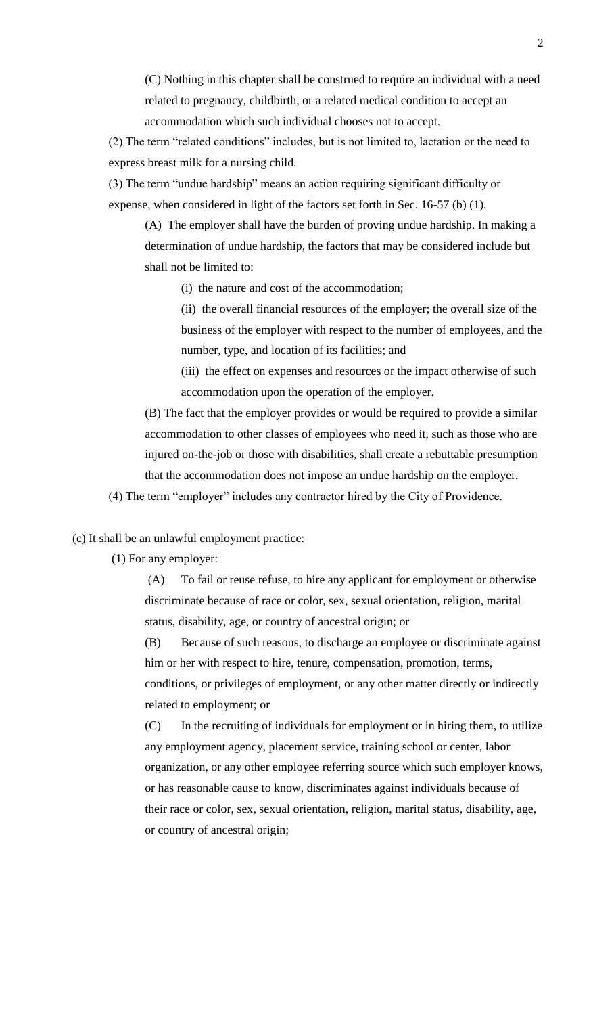(C) Nothing in this chapter shall be construed to require an individual with a need related to pregnancy, childbirth, or a related medical condition to accept an accommodation which such individual chooses not to accept.

(2) The term "related conditions" includes, but is not limited to, lactation or the need to express breast milk for a nursing child.

(3) The term "undue hardship" means an action requiring significant difficulty or expense, when considered in light of the factors set forth in Sec. 16-57 (b) (1).

(A) The employer shall have the burden of proving undue hardship. In making a determination of undue hardship, the factors that may be considered include but shall not be limited to:

(i) the nature and cost of the accommodation;

(ii) the overall financial resources of the employer; the overall size of the business of the employer with respect to the number of employees, and the number, type, and location of its facilities; and

(iii) the effect on expenses and resources or the impact otherwise of such accommodation upon the operation of the employer.

(B) The fact that the employer provides or would be required to provide a similar accommodation to other classes of employees who need it, such as those who are injured on-the-job or those with disabilities, shall create a rebuttable presumption that the accommodation does not impose an undue hardship on the employer.

(4) The term "employer" includes any contractor hired by the City of Providence.

(c) It shall be an unlawful employment practice:

(1) For any employer:

(A) To fail or reuse refuse, to hire any applicant for employment or otherwise discriminate because of race or color, sex, sexual orientation, religion, marital status, disability, age, or country of ancestral origin; or

(B) Because of such reasons, to discharge an employee or discriminate against him or her with respect to hire, tenure, compensation, promotion, terms, conditions, or privileges of employment, or any other matter directly or indirectly related to employment; or

(C) In the recruiting of individuals for employment or in hiring them, to utilize any employment agency, placement service, training school or center, labor organization, or any other employee referring source which such employer knows, or has reasonable cause to know, discriminates against individuals because of their race or color, sex, sexual orientation, religion, marital status, disability, age, or country of ancestral origin;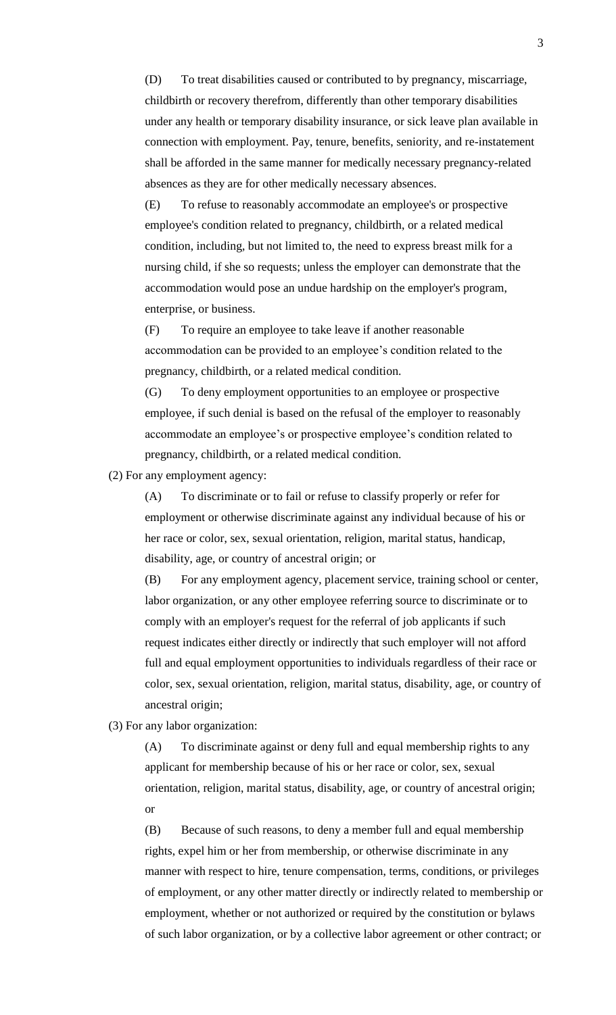(D) To treat disabilities caused or contributed to by pregnancy, miscarriage, childbirth or recovery therefrom, differently than other temporary disabilities under any health or temporary disability insurance, or sick leave plan available in connection with employment. Pay, tenure, benefits, seniority, and re-instatement shall be afforded in the same manner for medically necessary pregnancy-related absences as they are for other medically necessary absences.

(E) To refuse to reasonably accommodate an employee's or prospective employee's condition related to pregnancy, childbirth, or a related medical condition, including, but not limited to, the need to express breast milk for a nursing child, if she so requests; unless the employer can demonstrate that the accommodation would pose an undue hardship on the employer's program, enterprise, or business.

(F) To require an employee to take leave if another reasonable accommodation can be provided to an employee's condition related to the pregnancy, childbirth, or a related medical condition.

(G) To deny employment opportunities to an employee or prospective employee, if such denial is based on the refusal of the employer to reasonably accommodate an employee's or prospective employee's condition related to pregnancy, childbirth, or a related medical condition.

(2) For any employment agency:

(A) To discriminate or to fail or refuse to classify properly or refer for employment or otherwise discriminate against any individual because of his or her race or color, sex, sexual orientation, religion, marital status, handicap, disability, age, or country of ancestral origin; or

(B) For any employment agency, placement service, training school or center, labor organization, or any other employee referring source to discriminate or to comply with an employer's request for the referral of job applicants if such request indicates either directly or indirectly that such employer will not afford full and equal employment opportunities to individuals regardless of their race or color, sex, sexual orientation, religion, marital status, disability, age, or country of ancestral origin;

(3) For any labor organization:

(A) To discriminate against or deny full and equal membership rights to any applicant for membership because of his or her race or color, sex, sexual orientation, religion, marital status, disability, age, or country of ancestral origin; or

(B) Because of such reasons, to deny a member full and equal membership rights, expel him or her from membership, or otherwise discriminate in any manner with respect to hire, tenure compensation, terms, conditions, or privileges of employment, or any other matter directly or indirectly related to membership or employment, whether or not authorized or required by the constitution or bylaws of such labor organization, or by a collective labor agreement or other contract; or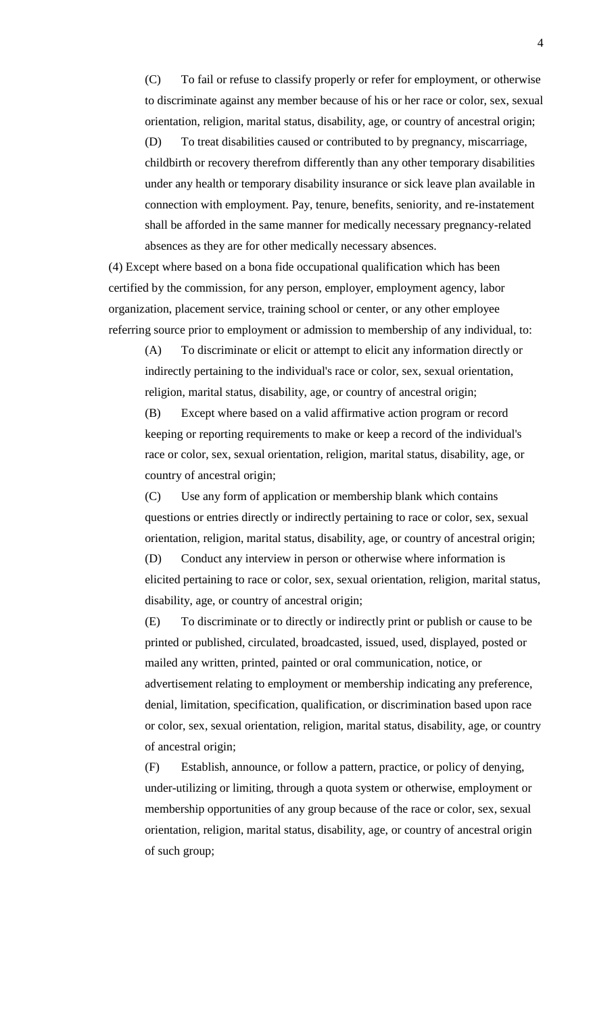(C) To fail or refuse to classify properly or refer for employment, or otherwise to discriminate against any member because of his or her race or color, sex, sexual orientation, religion, marital status, disability, age, or country of ancestral origin; (D) To treat disabilities caused or contributed to by pregnancy, miscarriage, childbirth or recovery therefrom differently than any other temporary disabilities under any health or temporary disability insurance or sick leave plan available in connection with employment. Pay, tenure, benefits, seniority, and re-instatement shall be afforded in the same manner for medically necessary pregnancy-related absences as they are for other medically necessary absences.

(4) Except where based on a bona fide occupational qualification which has been certified by the commission, for any person, employer, employment agency, labor organization, placement service, training school or center, or any other employee referring source prior to employment or admission to membership of any individual, to:

(A) To discriminate or elicit or attempt to elicit any information directly or indirectly pertaining to the individual's race or color, sex, sexual orientation, religion, marital status, disability, age, or country of ancestral origin;

(B) Except where based on a valid affirmative action program or record keeping or reporting requirements to make or keep a record of the individual's race or color, sex, sexual orientation, religion, marital status, disability, age, or country of ancestral origin;

(C) Use any form of application or membership blank which contains questions or entries directly or indirectly pertaining to race or color, sex, sexual orientation, religion, marital status, disability, age, or country of ancestral origin; (D) Conduct any interview in person or otherwise where information is elicited pertaining to race or color, sex, sexual orientation, religion, marital status, disability, age, or country of ancestral origin;

(E) To discriminate or to directly or indirectly print or publish or cause to be printed or published, circulated, broadcasted, issued, used, displayed, posted or mailed any written, printed, painted or oral communication, notice, or advertisement relating to employment or membership indicating any preference, denial, limitation, specification, qualification, or discrimination based upon race or color, sex, sexual orientation, religion, marital status, disability, age, or country of ancestral origin;

(F) Establish, announce, or follow a pattern, practice, or policy of denying, under-utilizing or limiting, through a quota system or otherwise, employment or membership opportunities of any group because of the race or color, sex, sexual orientation, religion, marital status, disability, age, or country of ancestral origin of such group;